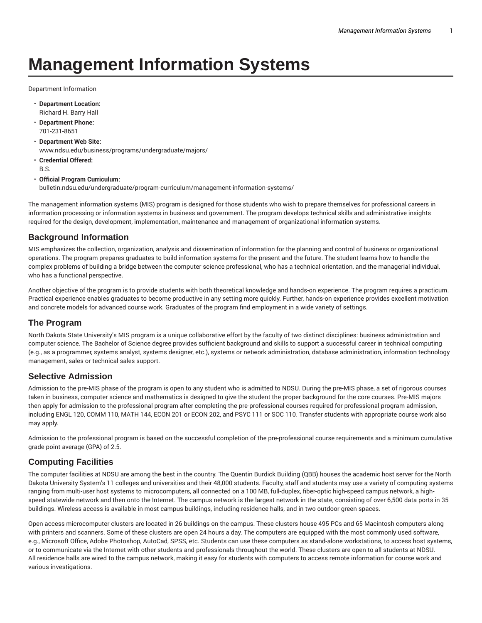# **Management Information Systems**

Department Information

- **Department Location:** Richard H. Barry Hall
- **Department Phone:** 701-231-8651
- **Department Web Site:** www.ndsu.edu/business/programs/undergraduate/majors/
- **Credential Offered:** B.S.

#### • **Official Program Curriculum:**

bulletin.ndsu.edu/undergraduate/program-curriculum/management-information-systems/

The management information systems (MIS) program is designed for those students who wish to prepare themselves for professional careers in information processing or information systems in business and government. The program develops technical skills and administrative insights required for the design, development, implementation, maintenance and management of organizational information systems.

### **Background Information**

MIS emphasizes the collection, organization, analysis and dissemination of information for the planning and control of business or organizational operations. The program prepares graduates to build information systems for the present and the future. The student learns how to handle the complex problems of building a bridge between the computer science professional, who has a technical orientation, and the managerial individual, who has a functional perspective.

Another objective of the program is to provide students with both theoretical knowledge and hands-on experience. The program requires a practicum. Practical experience enables graduates to become productive in any setting more quickly. Further, hands-on experience provides excellent motivation and concrete models for advanced course work. Graduates of the program find employment in a wide variety of settings.

### **The Program**

North Dakota State University's MIS program is a unique collaborative effort by the faculty of two distinct disciplines: business administration and computer science. The Bachelor of Science degree provides sufficient background and skills to support a successful career in technical computing (e.g., as a programmer, systems analyst, systems designer, etc.), systems or network administration, database administration, information technology management, sales or technical sales support.

### **Selective Admission**

Admission to the pre-MIS phase of the program is open to any student who is admitted to NDSU. During the pre-MIS phase, a set of rigorous courses taken in business, computer science and mathematics is designed to give the student the proper background for the core courses. Pre-MIS majors then apply for admission to the professional program after completing the pre-professional courses required for professional program admission, including ENGL 120, COMM 110, MATH 144, ECON 201 or ECON 202, and PSYC 111 or SOC 110. Transfer students with appropriate course work also may apply.

Admission to the professional program is based on the successful completion of the pre-professional course requirements and a minimum cumulative grade point average (GPA) of 2.5.

### **Computing Facilities**

The computer facilities at NDSU are among the best in the country. The Quentin Burdick Building (QBB) houses the academic host server for the North Dakota University System's 11 colleges and universities and their 48,000 students. Faculty, staff and students may use a variety of computing systems ranging from multi-user host systems to microcomputers, all connected on a 100 MB, full-duplex, fiber-optic high-speed campus network, a highspeed statewide network and then onto the Internet. The campus network is the largest network in the state, consisting of over 6,500 data ports in 35 buildings. Wireless access is available in most campus buildings, including residence halls, and in two outdoor green spaces.

Open access microcomputer clusters are located in 26 buildings on the campus. These clusters house 495 PCs and 65 Macintosh computers along with printers and scanners. Some of these clusters are open 24 hours a day. The computers are equipped with the most commonly used software, e.g., Microsoft Office, Adobe Photoshop, AutoCad, SPSS, etc. Students can use these computers as stand-alone workstations, to access host systems, or to communicate via the Internet with other students and professionals throughout the world. These clusters are open to all students at NDSU. All residence halls are wired to the campus network, making it easy for students with computers to access remote information for course work and various investigations.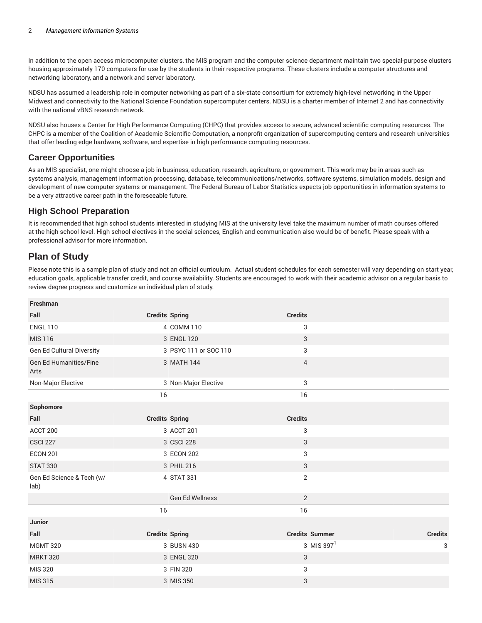In addition to the open access microcomputer clusters, the MIS program and the computer science department maintain two special-purpose clusters housing approximately 170 computers for use by the students in their respective programs. These clusters include a computer structures and networking laboratory, and a network and server laboratory.

NDSU has assumed a leadership role in computer networking as part of a six-state consortium for extremely high-level networking in the Upper Midwest and connectivity to the National Science Foundation supercomputer centers. NDSU is a charter member of Internet 2 and has connectivity with the national vBNS research network.

NDSU also houses a Center for High Performance Computing (CHPC) that provides access to secure, advanced scientific computing resources. The CHPC is a member of the Coalition of Academic Scientific Computation, a nonprofit organization of supercomputing centers and research universities that offer leading edge hardware, software, and expertise in high performance computing resources.

## **Career Opportunities**

As an MIS specialist, one might choose a job in business, education, research, agriculture, or government. This work may be in areas such as systems analysis, management information processing, database, telecommunications/networks, software systems, simulation models, design and development of new computer systems or management. The Federal Bureau of Labor Statistics expects job opportunities in information systems to be a very attractive career path in the foreseeable future.

## **High School Preparation**

It is recommended that high school students interested in studying MIS at the university level take the maximum number of math courses offered at the high school level. High school electives in the social sciences, English and communication also would be of benefit. Please speak with a professional advisor for more information.

## **Plan of Study**

Please note this is a sample plan of study and not an official curriculum. Actual student schedules for each semester will vary depending on start year, education goals, applicable transfer credit, and course availability. Students are encouraged to work with their academic advisor on a regular basis to review degree progress and customize an individual plan of study.

| Freshman                              |                       |                       |                |
|---------------------------------------|-----------------------|-----------------------|----------------|
| Fall                                  | <b>Credits Spring</b> | <b>Credits</b>        |                |
| <b>ENGL 110</b>                       | 4 COMM 110            | 3                     |                |
| <b>MIS 116</b>                        | 3 ENGL 120            | 3                     |                |
| Gen Ed Cultural Diversity             | 3 PSYC 111 or SOC 110 | 3                     |                |
| <b>Gen Ed Humanities/Fine</b><br>Arts | 3 MATH 144            | $\overline{4}$        |                |
| Non-Major Elective                    | 3 Non-Major Elective  | 3                     |                |
|                                       | 16                    | 16                    |                |
| Sophomore                             |                       |                       |                |
| Fall                                  | <b>Credits Spring</b> | <b>Credits</b>        |                |
| ACCT 200                              | 3 ACCT 201            | 3                     |                |
| <b>CSCI 227</b>                       | 3 CSCI 228            | 3                     |                |
| <b>ECON 201</b>                       | 3 ECON 202            | 3                     |                |
| <b>STAT 330</b>                       | 3 PHIL 216            | 3                     |                |
| Gen Ed Science & Tech (w/<br>lab)     | 4 STAT 331            | $\mathbf 2$           |                |
|                                       | Gen Ed Wellness       | 2                     |                |
|                                       | 16                    | 16                    |                |
| <b>Junior</b>                         |                       |                       |                |
| Fall                                  | <b>Credits Spring</b> | <b>Credits Summer</b> | <b>Credits</b> |
| <b>MGMT 320</b>                       | 3 BUSN 430            | 3 MIS 397 $1$         | 3              |
| <b>MRKT 320</b>                       | 3 ENGL 320            | 3                     |                |
| MIS 320                               | 3 FIN 320             | 3                     |                |
| <b>MIS 315</b>                        | 3 MIS 350             | 3                     |                |